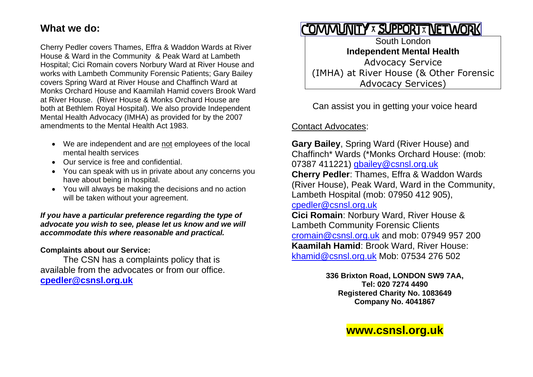#### **What we do:**

Cherry Pedler covers Thames, Effra & Waddon Wards at River House & Ward in the Community & Peak Ward at Lambeth Hospital; Cici Romain covers Norbury Ward at River House and works with Lambeth Community Forensic Patients; Gary Bailey covers Spring Ward at River House and Chaffinch Ward at Monks Orchard House and Kaamilah Hamid covers Brook Ward at River House. (River House & Monks Orchard House are both at Bethlem Royal Hospital). We also provide Independent Mental Health Advocacy (IMHA) as provided for by the 2007 amendments to the Mental Health Act 1983.

- We are independent and are not employees of the local mental health services
- Our service is free and confidential.
- You can speak with us in private about any concerns you have about being in hospital.
- You will always be making the decisions and no action will be taken without your agreement.

*If you have a particular preference regarding the type of advocate you wish to see, please let us know and we will accommodate this where reasonable and practical.*

**Complaints about our Service:**

The CSN has a complaints policy that is available from the advocates or from our office. **[cpedler@csnsl.org.uk](mailto:cpedler@csnsl.org.uk)** 

# COMMUNITY X SUPPORTX NETWORK

South London **Independent Mental Health** Advocacy Service (IMHA) at River House (& Other Forensic Advocacy Services)

Can assist you in getting your voice heard

Contact Advocates:

**Gary Bailey**, Spring Ward (River House) and Chaffinch\* Wards (\*Monks Orchard House: (mob: 07387 411221) [gbailey@csnsl.org.uk](mailto:gbailey@csnsl.org.uk) **Cherry Pedler**: Thames, Effra & Waddon Wards (River House), Peak Ward, Ward in the Community, Lambeth Hospital (mob: 07950 412 905), [cpedler@csnsl.org.uk](mailto:cpedler@csnsl.org.uk)

**Cici Romain**: Norbury Ward, River House & Lambeth Community Forensic Clients [cromain@csnsl.org.uk](mailto:cromain@csnsl.org.uk) and mob: 07949 957 200 **Kaamilah Hamid**: Brook Ward, River House: [khamid@csnsl.org.uk](mailto:khamid@csnsl.org.uk) Mob: 07534 276 502

> **336 Brixton Road, LONDON SW9 7AA, Tel: 020 7274 4490 Registered Charity No. 1083649 Company No. 4041867**

### **www.csnsl.org.uk**